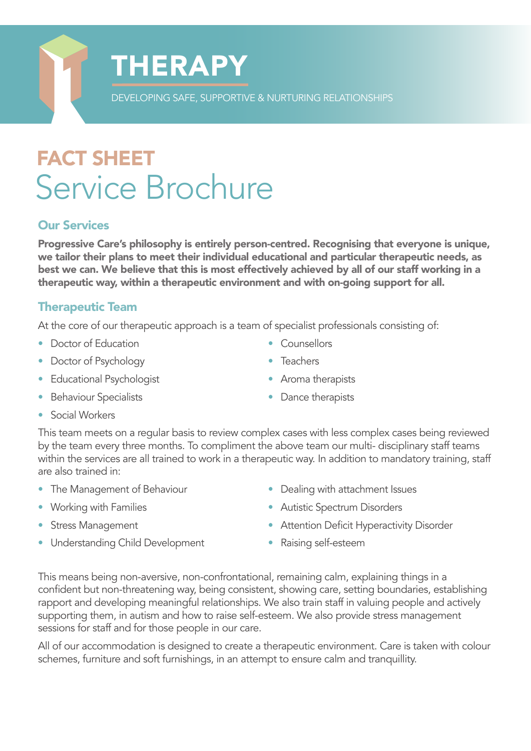## FACT SHEET Service Brochure

**THERAPY** 

#### Our Services

Progressive Care's philosophy is entirely person-centred. Recognising that everyone is unique, we tailor their plans to meet their individual educational and particular therapeutic needs, as best we can. We believe that this is most effectively achieved by all of our staff working in a therapeutic way, within a therapeutic environment and with on-going support for all.

DEVELOPING SAFE, SUPPORTIVE & NURTURING RELATIONSHIPS

#### Therapeutic Team

At the core of our therapeutic approach is a team of specialist professionals consisting of:

- Doctor of Education
- Doctor of Psychology
- Educational Psychologist
- Behaviour Specialists
- Counsellors
- Teachers
- Aroma therapists
- Dance therapists

• Social Workers

This team meets on a regular basis to review complex cases with less complex cases being reviewed by the team every three months. To compliment the above team our multi- disciplinary staff teams within the services are all trained to work in a therapeutic way. In addition to mandatory training, staff are also trained in:

- The Management of Behaviour
- Working with Families
- Stress Management
- Understanding Child Development
- Dealing with attachment Issues
- Autistic Spectrum Disorders
- Attention Deficit Hyperactivity Disorder
- Raising self-esteem

This means being non-aversive, non-confrontational, remaining calm, explaining things in a confident but non-threatening way, being consistent, showing care, setting boundaries, establishing rapport and developing meaningful relationships. We also train staff in valuing people and actively supporting them, in autism and how to raise self-esteem. We also provide stress management sessions for staff and for those people in our care.

All of our accommodation is designed to create a therapeutic environment. Care is taken with colour schemes, furniture and soft furnishings, in an attempt to ensure calm and tranquillity.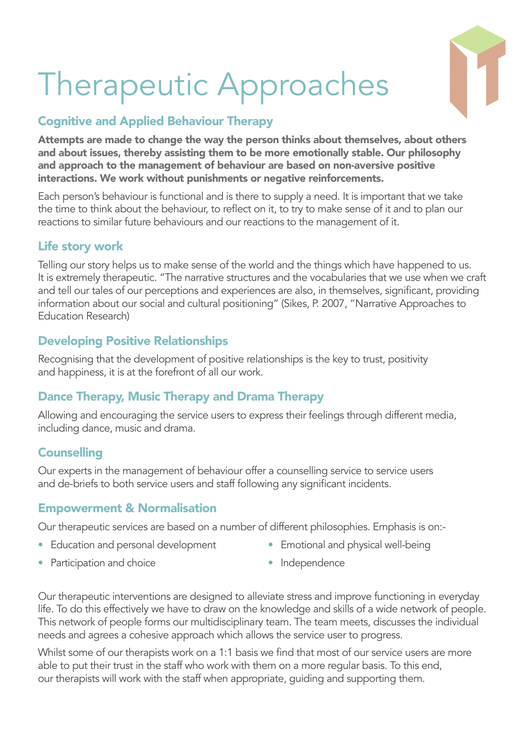# Therapeutic Approaches

### Cognitive and Applied Behaviour Therapy

Attempts are made to change the way the person thinks about themselves, about others and about issues, thereby assisting them to be more emotionally stable. Our philosophy and approach to the management of behaviour are based on non-aversive positive interactions. We work without punishments or negative reinforcements.

Each person's behaviour is functional and is there to supply a need. It is important that we take the time to think about the behaviour, to reflect on it, to try to make sense of it and to plan our reactions to similar future behaviours and our reactions to the management of it.

#### Life story work

Telling our story helps us to make sense of the world and the things which have happened to us. It is extremely therapeutic. "The narrative structures and the vocabularies that we use when we craft and tell our tales of our perceptions and experiences are also, in themselves, significant, providing information about our social and cultural positioning" (Sikes, P. 2007, "Narrative Approaches to Education Research)

#### Developing Positive Relationships

Recognising that the development of positive relationships is the key to trust, positivity and happiness, it is at the forefront of all our work.

#### Dance Therapy, Music Therapy and Drama Therapy

Allowing and encouraging the service users to express their feelings through different media, including dance, music and drama.

#### **Counselling**

Our experts in the management of behaviour offer a counselling service to service users and de-briefs to both service users and staff following any significant incidents.

#### Empowerment & Normalisation

Our therapeutic services are based on a number of different philosophies. Emphasis is on:-

- Education and personal development
- Emotional and physical well-being

• Participation and choice

• Independence

Our therapeutic interventions are designed to alleviate stress and improve functioning in everyday life. To do this effectively we have to draw on the knowledge and skills of a wide network of people. This network of people forms our multidisciplinary team. The team meets, discusses the individual needs and agrees a cohesive approach which allows the service user to progress.

Whilst some of our therapists work on a 1:1 basis we find that most of our service users are more able to put their trust in the staff who work with them on a more regular basis. To this end, our therapists will work with the staff when appropriate, guiding and supporting them.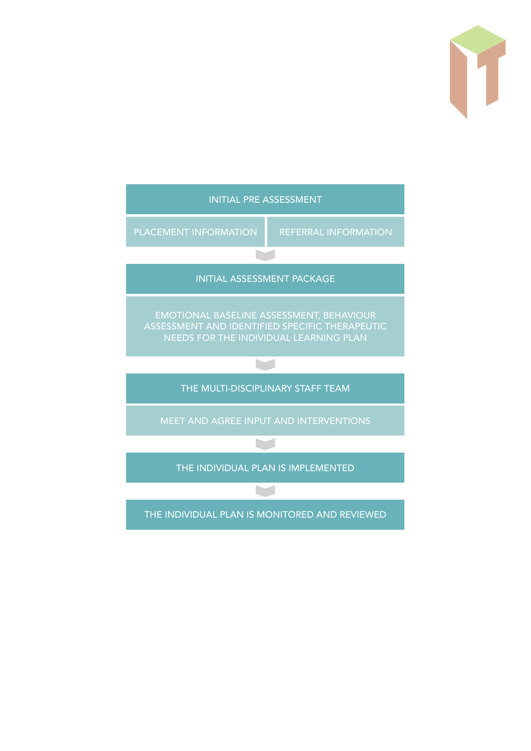